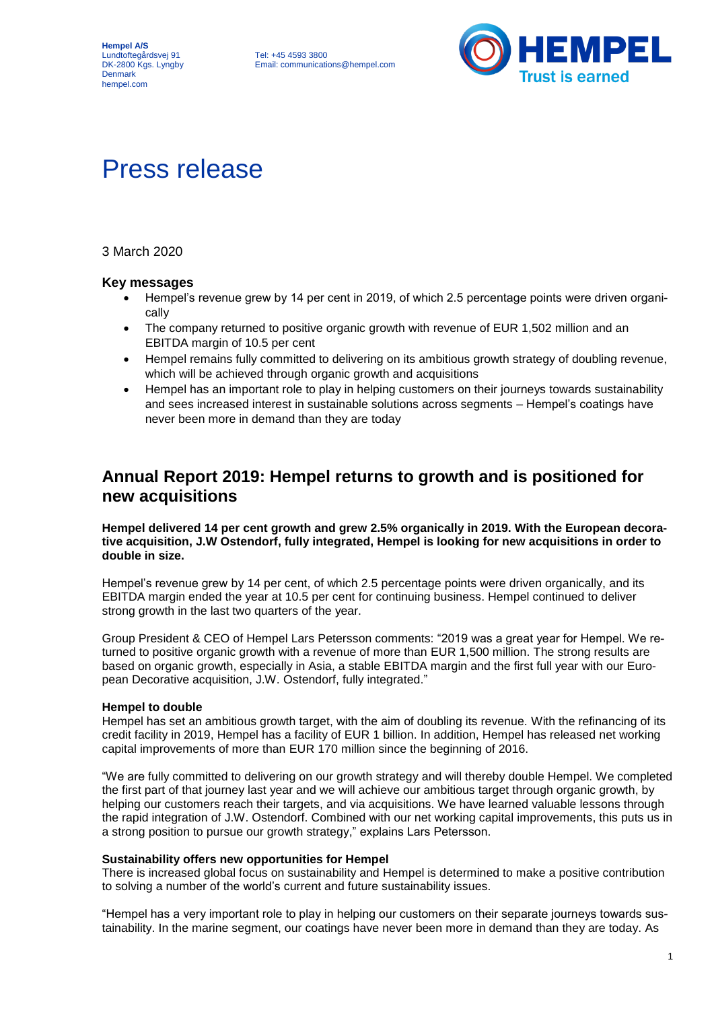

# Press release

# 3 March 2020

### **Key messages**

- Hempel's revenue grew by 14 per cent in 2019, of which 2.5 percentage points were driven organically
- The company returned to positive organic growth with revenue of EUR 1,502 million and an EBITDA margin of 10.5 per cent
- Hempel remains fully committed to delivering on its ambitious growth strategy of doubling revenue, which will be achieved through organic growth and acquisitions
- Hempel has an important role to play in helping customers on their journeys towards sustainability and sees increased interest in sustainable solutions across segments – Hempel's coatings have never been more in demand than they are today

# **Annual Report 2019: Hempel returns to growth and is positioned for new acquisitions**

#### **Hempel delivered 14 per cent growth and grew 2.5% organically in 2019. With the European decorative acquisition, J.W Ostendorf, fully integrated, Hempel is looking for new acquisitions in order to double in size.**

Hempel's revenue grew by 14 per cent, of which 2.5 percentage points were driven organically, and its EBITDA margin ended the year at 10.5 per cent for continuing business. Hempel continued to deliver strong growth in the last two quarters of the year.

Group President & CEO of Hempel Lars Petersson comments: "2019 was a great year for Hempel. We returned to positive organic growth with a revenue of more than EUR 1,500 million. The strong results are based on organic growth, especially in Asia, a stable EBITDA margin and the first full year with our European Decorative acquisition, J.W. Ostendorf, fully integrated."

#### **Hempel to double**

Hempel has set an ambitious growth target, with the aim of doubling its revenue. With the refinancing of its credit facility in 2019, Hempel has a facility of EUR 1 billion. In addition, Hempel has released net working capital improvements of more than EUR 170 million since the beginning of 2016.

"We are fully committed to delivering on our growth strategy and will thereby double Hempel. We completed the first part of that journey last year and we will achieve our ambitious target through organic growth, by helping our customers reach their targets, and via acquisitions. We have learned valuable lessons through the rapid integration of J.W. Ostendorf. Combined with our net working capital improvements, this puts us in a strong position to pursue our growth strategy," explains Lars Petersson.

#### **Sustainability offers new opportunities for Hempel**

There is increased global focus on sustainability and Hempel is determined to make a positive contribution to solving a number of the world's current and future sustainability issues.

"Hempel has a very important role to play in helping our customers on their separate journeys towards sustainability. In the marine segment, our coatings have never been more in demand than they are today. As